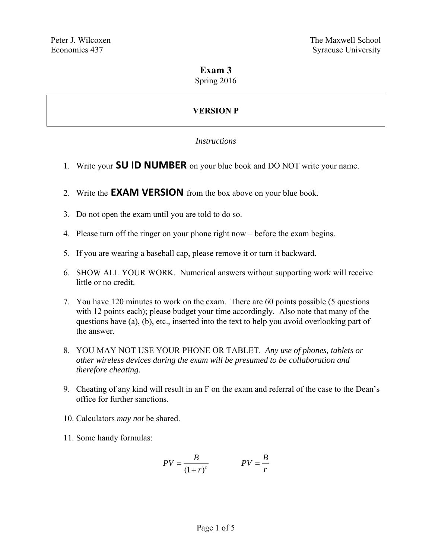## **Exam 3**

Spring 2016

# **VERSION P**

#### *Instructions*

- 1. Write your **SU ID NUMBER** on your blue book and DO NOT write your name.
- 2. Write the **EXAM VERSION** from the box above on your blue book.
- 3. Do not open the exam until you are told to do so.
- 4. Please turn off the ringer on your phone right now before the exam begins.
- 5. If you are wearing a baseball cap, please remove it or turn it backward.
- 6. SHOW ALL YOUR WORK. Numerical answers without supporting work will receive little or no credit.
- 7. You have 120 minutes to work on the exam. There are 60 points possible (5 questions with 12 points each); please budget your time accordingly. Also note that many of the questions have (a), (b), etc., inserted into the text to help you avoid overlooking part of the answer.
- 8. YOU MAY NOT USE YOUR PHONE OR TABLET. *Any use of phones, tablets or other wireless devices during the exam will be presumed to be collaboration and therefore cheating.*
- 9. Cheating of any kind will result in an F on the exam and referral of the case to the Dean's office for further sanctions.
- 10. Calculators *may not* be shared.
- 11. Some handy formulas:

$$
PV = \frac{B}{(1+r)^t}
$$
 
$$
PV = \frac{B}{r}
$$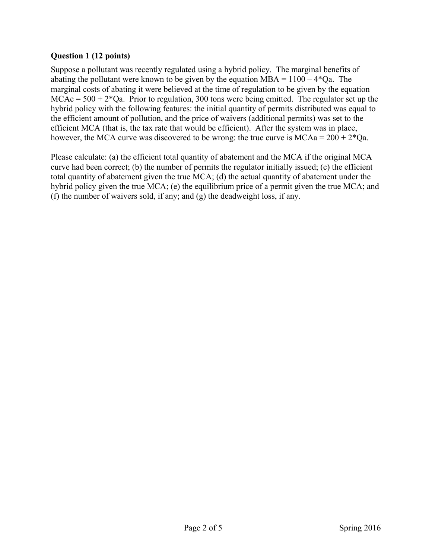#### **Question 1 (12 points)**

Suppose a pollutant was recently regulated using a hybrid policy. The marginal benefits of abating the pollutant were known to be given by the equation  $MBA = 1100 - 4*Qa$ . The marginal costs of abating it were believed at the time of regulation to be given by the equation  $MCAe = 500 + 2*Qa$ . Prior to regulation, 300 tons were being emitted. The regulator set up the hybrid policy with the following features: the initial quantity of permits distributed was equal to the efficient amount of pollution, and the price of waivers (additional permits) was set to the efficient MCA (that is, the tax rate that would be efficient). After the system was in place, however, the MCA curve was discovered to be wrong: the true curve is  $MCAa = 200 + 2*Qa$ .

Please calculate: (a) the efficient total quantity of abatement and the MCA if the original MCA curve had been correct; (b) the number of permits the regulator initially issued; (c) the efficient total quantity of abatement given the true MCA; (d) the actual quantity of abatement under the hybrid policy given the true MCA; (e) the equilibrium price of a permit given the true MCA; and (f) the number of waivers sold, if any; and (g) the deadweight loss, if any.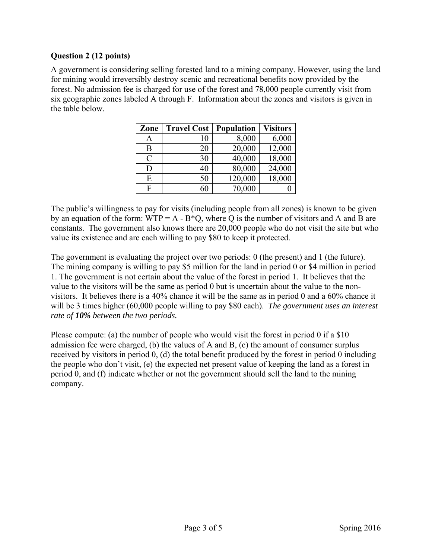#### **Question 2 (12 points)**

A government is considering selling forested land to a mining company. However, using the land for mining would irreversibly destroy scenic and recreational benefits now provided by the forest. No admission fee is charged for use of the forest and 78,000 people currently visit from six geographic zones labeled A through F. Information about the zones and visitors is given in the table below.

| Zone          | <b>Travel Cost</b> | <b>Population</b> | <b>Visitors</b> |
|---------------|--------------------|-------------------|-----------------|
| A             | 10                 | 8,000             | 6,000           |
| B             | 20                 | 20,000            | 12,000          |
| $\mathcal{C}$ | 30                 | 40,000            | 18,000          |
| D             | 40                 | 80,000            | 24,000          |
| E             | 50                 | 120,000           | 18,000          |
| F             | 60                 | 70,000            |                 |

The public's willingness to pay for visits (including people from all zones) is known to be given by an equation of the form:  $WTP = A - B^*Q$ , where Q is the number of visitors and A and B are constants. The government also knows there are 20,000 people who do not visit the site but who value its existence and are each willing to pay \$80 to keep it protected.

The government is evaluating the project over two periods: 0 (the present) and 1 (the future). The mining company is willing to pay \$5 million for the land in period 0 or \$4 million in period 1. The government is not certain about the value of the forest in period 1. It believes that the value to the visitors will be the same as period 0 but is uncertain about the value to the nonvisitors. It believes there is a 40% chance it will be the same as in period 0 and a 60% chance it will be 3 times higher (60,000 people willing to pay \$80 each). *The government uses an interest rate of 10% between the two periods.*

Please compute: (a) the number of people who would visit the forest in period 0 if a \$10 admission fee were charged, (b) the values of A and B, (c) the amount of consumer surplus received by visitors in period 0, (d) the total benefit produced by the forest in period 0 including the people who don't visit, (e) the expected net present value of keeping the land as a forest in period 0, and (f) indicate whether or not the government should sell the land to the mining company.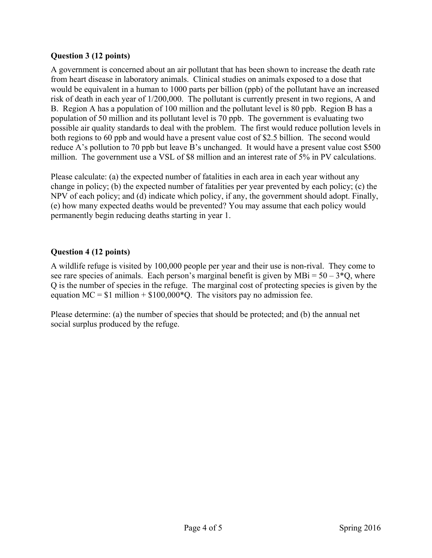#### **Question 3 (12 points)**

A government is concerned about an air pollutant that has been shown to increase the death rate from heart disease in laboratory animals. Clinical studies on animals exposed to a dose that would be equivalent in a human to 1000 parts per billion (ppb) of the pollutant have an increased risk of death in each year of 1/200,000. The pollutant is currently present in two regions, A and B. Region A has a population of 100 million and the pollutant level is 80 ppb. Region B has a population of 50 million and its pollutant level is 70 ppb. The government is evaluating two possible air quality standards to deal with the problem. The first would reduce pollution levels in both regions to 60 ppb and would have a present value cost of \$2.5 billion. The second would reduce A's pollution to 70 ppb but leave B's unchanged. It would have a present value cost \$500 million. The government use a VSL of \$8 million and an interest rate of 5% in PV calculations.

Please calculate: (a) the expected number of fatalities in each area in each year without any change in policy; (b) the expected number of fatalities per year prevented by each policy; (c) the NPV of each policy; and (d) indicate which policy, if any, the government should adopt. Finally, (e) how many expected deaths would be prevented? You may assume that each policy would permanently begin reducing deaths starting in year 1.

### **Question 4 (12 points)**

A wildlife refuge is visited by 100,000 people per year and their use is non-rival. They come to see rare species of animals. Each person's marginal benefit is given by  $MBi = 50 - 3*Q$ , where Q is the number of species in the refuge. The marginal cost of protecting species is given by the equation  $MC = $1$  million  $+ $100,000*Q$ . The visitors pay no admission fee.

Please determine: (a) the number of species that should be protected; and (b) the annual net social surplus produced by the refuge.